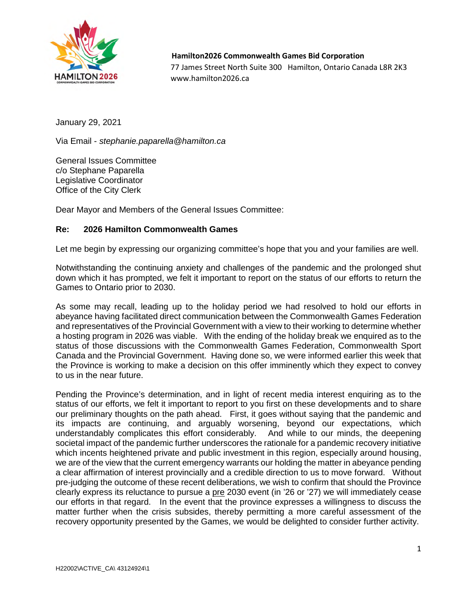

 **Hamilton2026 Commonwealth Games Bid Corporation**  77 James Street North Suite 300 Hamilton, Ontario Canada L8R 2K3 www.hamilton2026.ca

January 29, 2021

Via Email - *stephanie.paparella@hamilton.ca*

General Issues Committee c/o Stephane Paparella Legislative Coordinator Office of the City Clerk

Dear Mayor and Members of the General Issues Committee:

## **Re: 2026 Hamilton Commonwealth Games**

Let me begin by expressing our organizing committee's hope that you and your families are well.

Notwithstanding the continuing anxiety and challenges of the pandemic and the prolonged shut down which it has prompted, we felt it important to report on the status of our efforts to return the Games to Ontario prior to 2030.

As some may recall, leading up to the holiday period we had resolved to hold our efforts in abeyance having facilitated direct communication between the Commonwealth Games Federation and representatives of the Provincial Government with a view to their working to determine whether a hosting program in 2026 was viable. With the ending of the holiday break we enquired as to the status of those discussions with the Commonwealth Games Federation, Commonwealth Sport Canada and the Provincial Government. Having done so, we were informed earlier this week that the Province is working to make a decision on this offer imminently which they expect to convey to us in the near future.

Pending the Province's determination, and in light of recent media interest enquiring as to the status of our efforts, we felt it important to report to you first on these developments and to share our preliminary thoughts on the path ahead. First, it goes without saying that the pandemic and its impacts are continuing, and arguably worsening, beyond our expectations, which understandably complicates this effort considerably. And while to our minds, the deepening societal impact of the pandemic further underscores the rationale for a pandemic recovery initiative which incents heightened private and public investment in this region, especially around housing, we are of the view that the current emergency warrants our holding the matter in abeyance pending a clear affirmation of interest provincially and a credible direction to us to move forward. Without pre-judging the outcome of these recent deliberations, we wish to confirm that should the Province clearly express its reluctance to pursue a pre 2030 event (in '26 or '27) we will immediately cease our efforts in that regard. In the event that the province expresses a willingness to discuss the matter further when the crisis subsides, thereby permitting a more careful assessment of the recovery opportunity presented by the Games, we would be delighted to consider further activity.